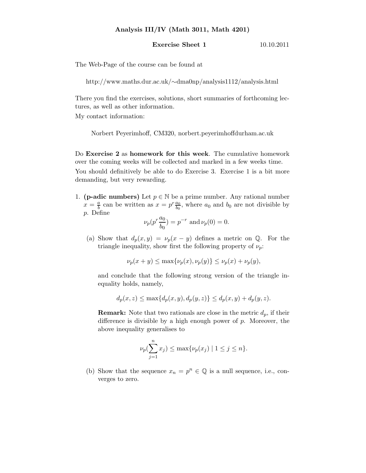## Analysis III/IV (Math 3011, Math 4201)

## **Exercise Sheet 1** 10.10.2011

The Web-Page of the course can be found at

http://www.maths.dur.ac.uk/∼dma0np/analysis1112/analysis.html

There you find the exercises, solutions, short summaries of forthcoming lectures, as well as other information.

My contact information:

Norbert Peyerimhoff, CM320, norbert.peyerimhoffdurham.ac.uk

Do Exercise 2 as homework for this week. The cumulative homework over the coming weeks will be collected and marked in a few weeks time.

You should definitively be able to do Exercise 3. Exercise 1 is a bit more demanding, but very rewarding.

1. (**p-adic numbers**) Let  $p \in \mathbb{N}$  be a prime number. Any rational number  $x=\frac{a}{b}$  $\frac{a}{b}$  can be written as  $x = p^r \frac{a_0}{b_0}$ , where  $a_0$  and  $b_0$  are not divisible by p. Define

$$
\nu_p(p^r \frac{a_0}{b_0}) = p^{-r} \text{ and } \nu_p(0) = 0.
$$

(a) Show that  $d_p(x, y) = \nu_p(x - y)$  defines a metric on Q. For the triangle inequality, show first the following property of  $\nu_p$ :

$$
\nu_p(x+y) \le \max\{\nu_p(x), \nu_p(y)\} \le \nu_p(x) + \nu_p(y),
$$

and conclude that the following strong version of the triangle inequality holds, namely,

$$
d_p(x, z) \le \max\{d_p(x, y), d_p(y, z)\} \le d_p(x, y) + d_p(y, z).
$$

**Remark:** Note that two rationals are close in the metric  $d_p$ , if their difference is divisible by a high enough power of  $p$ . Moreover, the above inequality generalises to

$$
\nu_p(\sum_{j=1}^n x_j) \le \max{\nu_p(x_j) | 1 \le j \le n}.
$$

(b) Show that the sequence  $x_n = p^n \in \mathbb{Q}$  is a null sequence, i.e., converges to zero.